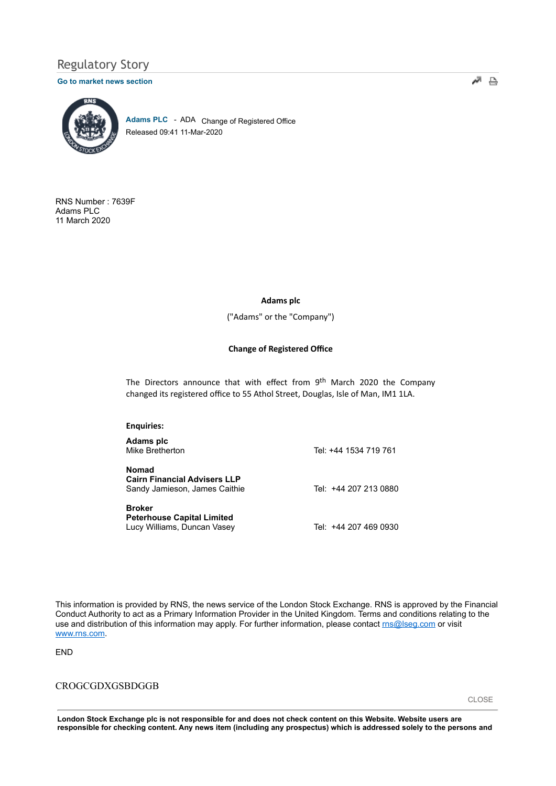# Regulatory Story

#### Go to market news section



Adams PLC - ADA Change of Registered Office Released 09:41 11-Mar-2020

RNS Number : 7639F Adams PLC 11 March 2020

### Adams plc

("Adams" or the "Company")

## Change of Registered Office

The Directors announce that with effect from  $9<sup>th</sup>$  March 2020 the Company changed its registered office to 55 Athol Street, Douglas, Isle of Man, IM1 1LA.

| <b>Enguiries:</b>                                                                    |                       |
|--------------------------------------------------------------------------------------|-----------------------|
| Adams plc<br>Mike Bretherton                                                         | Tel: +44 1534 719 761 |
| <b>Nomad</b><br><b>Cairn Financial Advisers LLP</b><br>Sandy Jamieson, James Caithie | Tel: +44 207 213 0880 |
| <b>Broker</b><br><b>Peterhouse Capital Limited</b><br>Lucy Williams, Duncan Vasey    | Tel: +44 207 469 0930 |

This information is provided by RNS, the news service of the London Stock Exchange. RNS is approved by the Financial Conduct Authority to act as a Primary Information Provider in the United Kingdom. Terms and conditions relating to the use and distribution of this information may apply. For further information, please contact ms@lseg.com or visit www.rns.com.

END

# CROGCGDXGSBDGGB

London Stock Exchange plc is not responsible for and does not check content on this Website. Website users are responsible for checking content. Any news item (including any prospectus) which is addressed solely to the persons and

교 음